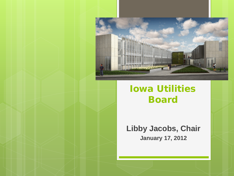

#### Iowa Utilities Board

**Libby Jacobs, Chair January 17, 2012**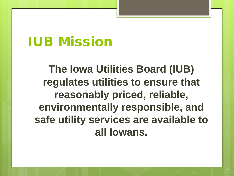### IUB Mission

**The Iowa Utilities Board (IUB) regulates utilities to ensure that reasonably priced, reliable, environmentally responsible, and safe utility services are available to all Iowans.**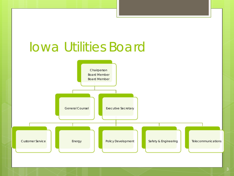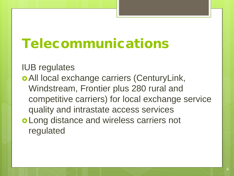## Telecommunications

IUB regulates

 All local exchange carriers (CenturyLink, Windstream, Frontier plus 280 rural and competitive carriers) for local exchange service quality and intrastate access services Long distance and wireless carriers not regulated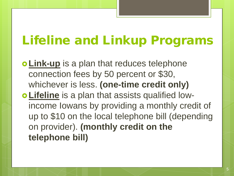### Lifeline and Linkup Programs

**o Link-up** is a plan that reduces telephone connection fees by 50 percent or \$30, whichever is less. **(one-time credit only) Lifeline** is a plan that assists qualified lowincome Iowans by providing a monthly credit of up to \$10 on the local telephone bill (depending on provider). **(monthly credit on the telephone bill)**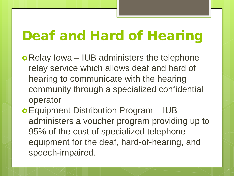## Deaf and Hard of Hearing

- o Relay Iowa IUB administers the telephone relay service which allows deaf and hard of hearing to communicate with the hearing community through a specialized confidential operator
- Equipment Distribution Program IUB administers a voucher program providing up to 95% of the cost of specialized telephone equipment for the deaf, hard-of-hearing, and speech-impaired.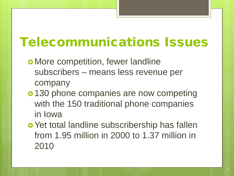### Telecommunications Issues

- **o** More competition, fewer landline subscribers – means less revenue per company
- o 130 phone companies are now competing with the 150 traditional phone companies in Iowa
- o Yet total landline subscribership has fallen from 1.95 million in 2000 to 1.37 million in 2010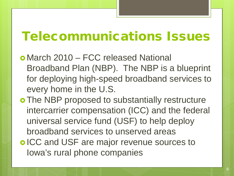#### Telecommunications Issues

- March 2010 FCC released National Broadband Plan (NBP). The NBP is a blueprint for deploying high-speed broadband services to every home in the U.S.
- o The NBP proposed to substantially restructure intercarrier compensation (ICC) and the federal universal service fund (USF) to help deploy broadband services to unserved areas o ICC and USF are major revenue sources to Iowa's rural phone companies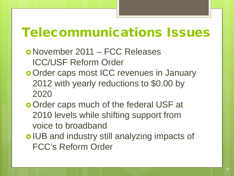#### Telecommunications Issues

- November 2011 FCC Releases ICC/USF Reform Order
- o Order caps most ICC revenues in January 2012 with yearly reductions to \$0.00 by 2020
- o Order caps much of the federal USF at 2010 levels while shifting support from voice to broadband
- o IUB and industry still analyzing impacts of FCC's Reform Order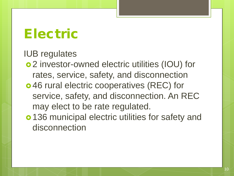#### Electric

IUB regulates

- 2 investor-owned electric utilities (IOU) for rates, service, safety, and disconnection
- 46 rural electric cooperatives (REC) for service, safety, and disconnection. An REC may elect to be rate regulated.
- o 136 municipal electric utilities for safety and disconnection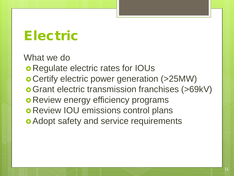### Electric

What we do

Regulate electric rates for IOUs

Certify electric power generation (>25MW)

Grant electric transmission franchises (>69kV)

- **o Review energy efficiency programs**
- **o Review IOU emissions control plans**
- **o** Adopt safety and service requirements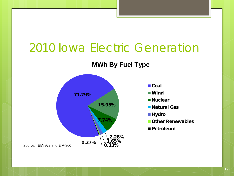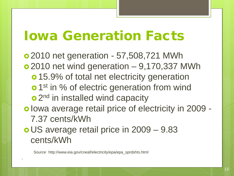#### Iowa Generation Facts

 2010 net generation - 57,508,721 MWh 2010 net wind generation – 9,170,337 MWh **o** 15.9% of total net electricity generation **o** 1<sup>st</sup> in % of electric generation from wind o 2<sup>nd</sup> in installed wind capacity o lowa average retail price of electricity in 2009 -7.37 cents/kWh US average retail price in 2009 – 9.83

cents/kWh

1

Source: http://www.eia.gov/cneaf/electricity/epa/epa\_sprdshts.html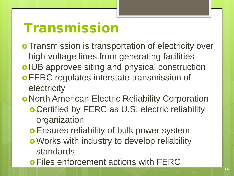### Transmission

**o Transmission is transportation of electricity over** high-voltage lines from generating facilities o IUB approves siting and physical construction **o FERC regulates interstate transmission of** electricity

North American Electric Reliability Corporation

- Certified by FERC as U.S. electric reliability organization
- **o Ensures reliability of bulk power system**
- **o** Works with industry to develop reliability standards
- Files enforcement actions with FERC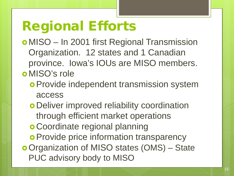# Regional Efforts

 MISO – In 2001 first Regional Transmission Organization. 12 states and 1 Canadian province. Iowa's IOUs are MISO members. o MISO's role

- **o Provide independent transmission system** access
- Deliver improved reliability coordination through efficient market operations
- **o Coordinate regional planning**
- **o Provide price information transparency**
- Organization of MISO states (OMS) State PUC advisory body to MISO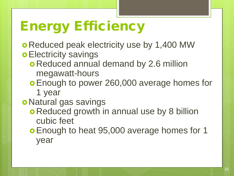# Energy Efficiency

- **o** Reduced peak electricity use by 1,400 MW **o Electricity savings** 
	- o Reduced annual demand by 2.6 million megawatt-hours
	- Enough to power 260,000 average homes for 1 year
- o Natural gas savings
	- **o Reduced growth in annual use by 8 billion** cubic feet
	- **o Enough to heat 95,000 average homes for 1** year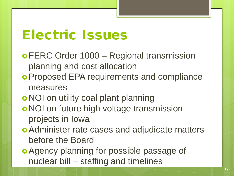#### Electric Issues

- FERC Order 1000 Regional transmission planning and cost allocation
- Proposed EPA requirements and compliance measures
- o NOI on utility coal plant planning
- o NOI on future high voltage transmission projects in Iowa
- Administer rate cases and adjudicate matters before the Board
- Agency planning for possible passage of nuclear bill – staffing and timelines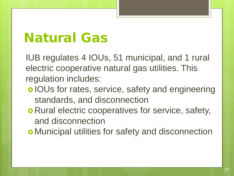### Natural Gas

IUB regulates 4 IOUs, 51 municipal, and 1 rural electric cooperative natural gas utilities. This regulation includes:

- o IOUs for rates, service, safety and engineering standards, and disconnection
- **o** Rural electric cooperatives for service, safety, and disconnection

Municipal utilities for safety and disconnection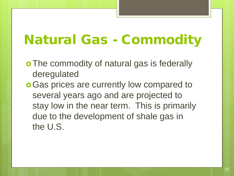## Natural Gas - Commodity

- o The commodity of natural gas is federally deregulated
- **o** Gas prices are currently low compared to several years ago and are projected to stay low in the near term. This is primarily due to the development of shale gas in the U.S.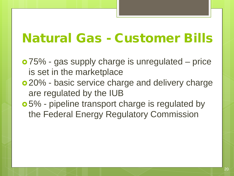#### Natural Gas - Customer Bills

- 75% gas supply charge is unregulated price is set in the marketplace
- 20% basic service charge and delivery charge are regulated by the IUB
- 5% pipeline transport charge is regulated by the Federal Energy Regulatory Commission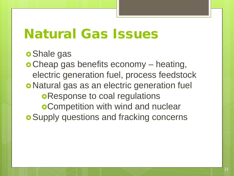#### Natural Gas Issues

#### **o** Shale gas

 Cheap gas benefits economy – heating, electric generation fuel, process feedstock o Natural gas as an electric generation fuel **oResponse to coal regulations** Competition with wind and nuclear **o** Supply questions and fracking concerns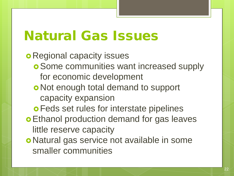### Natural Gas Issues

**o** Regional capacity issues

- Some communities want increased supply for economic development
- o Not enough total demand to support capacity expansion
- **o Feds set rules for interstate pipelines**
- Ethanol production demand for gas leaves little reserve capacity
- o Natural gas service not available in some smaller communities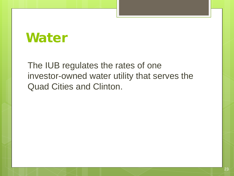#### Water

The IUB regulates the rates of one investor-owned water utility that serves the Quad Cities and Clinton.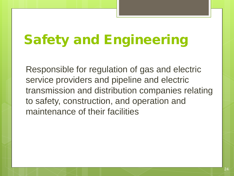# Safety and Engineering

Responsible for regulation of gas and electric service providers and pipeline and electric transmission and distribution companies relating to safety, construction, and operation and maintenance of their facilities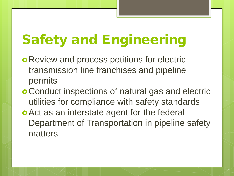# Safety and Engineering

- **o** Review and process petitions for electric transmission line franchises and pipeline permits
- Conduct inspections of natural gas and electric utilities for compliance with safety standards
- **o** Act as an interstate agent for the federal Department of Transportation in pipeline safety matters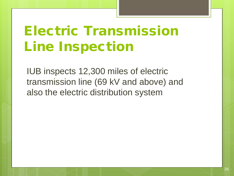# Electric Transmission Line Inspection

IUB inspects 12,300 miles of electric transmission line (69 kV and above) and also the electric distribution system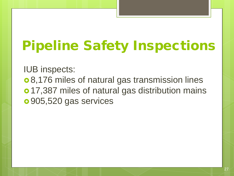# Pipeline Safety Inspections

IUB inspects:

 8,176 miles of natural gas transmission lines o 17,387 miles of natural gas distribution mains 905,520 gas services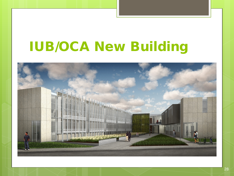## IUB/OCA New Building

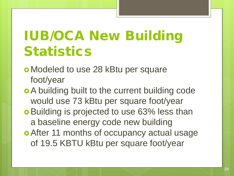# IUB/OCA New Building **Statistics**

- Modeled to use 28 kBtu per square foot/year
- A building built to the current building code would use 73 kBtu per square foot/year
- **o** Building is projected to use 63% less than a baseline energy code new building
- **o** After 11 months of occupancy actual usage of 19.5 KBTU kBtu per square foot/year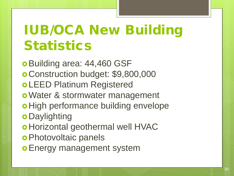# IUB/OCA New Building **Statistics**

o Building area: 44,460 GSF Construction budget: \$9,800,000 LEED Platinum Registered Water & stormwater management o High performance building envelope **o** Daylighting o Horizontal geothermal well HVAC **o** Photovoltaic panels **o Energy management system**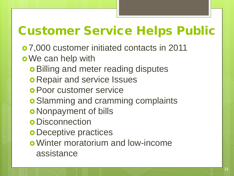### Customer Service Helps Public

 7,000 customer initiated contacts in 2011 o We can help with

- **o** Billing and meter reading disputes
- **o Repair and service Issues**
- Poor customer service
- **o** Slamming and cramming complaints
- **o** Nonpayment of bills
- **o** Disconnection
- **o** Deceptive practices
- Winter moratorium and low-income assistance